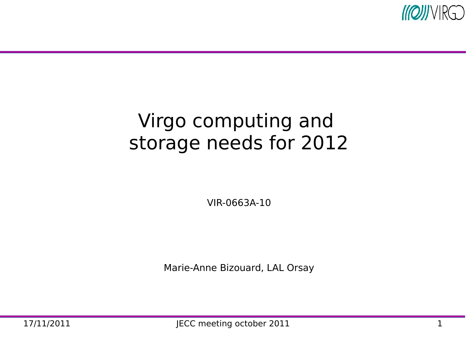

#### Virgo computing and storage needs for 2012

VIR-0663A-10

Marie-Anne Bizouard, LAL Orsay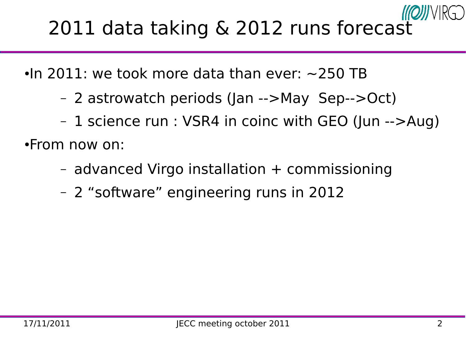# 2011 data taking & 2012 runs forecast

 $\cdot$ In 2011: we took more data than ever:  $\sim$ 250 TB

- 2 astrowatch periods (Jan -->May Sep-->Oct)
- 1 science run : VSR4 in coinc with GEO (Jun -->Aug)

●From now on:

- advanced Virgo installation + commissioning
- 2 "software" engineering runs in 2012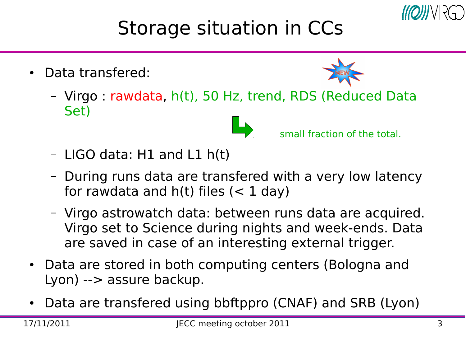

#### Storage situation in CCs

• Data transfered:



– Virgo : rawdata, h(t), 50 Hz, trend, RDS (Reduced Data Set)



**SMALLET SMALLET SMALLET SMALLET SMALLET** 

- LIGO data: H1 and L1 h(t)
- During runs data are transfered with a very low latency for rawdata and  $h(t)$  files  $(< 1 \text{ day})$
- Virgo astrowatch data: between runs data are acquired. Virgo set to Science during nights and week-ends. Data are saved in case of an interesting external trigger.
- Data are stored in both computing centers (Bologna and Lyon) --> assure backup.
- Data are transfered using bbftppro (CNAF) and SRB (Lyon)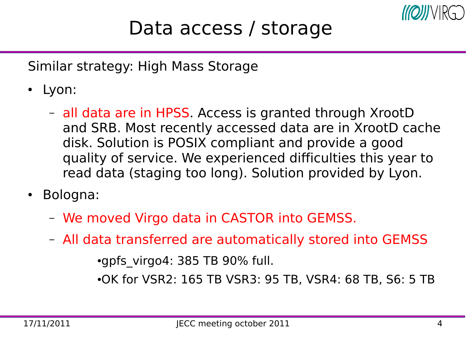

#### Data access / storage

Similar strategy: High Mass Storage

- Lyon:
	- all data are in HPSS. Access is granted through XrootD and SRB. Most recently accessed data are in XrootD cache disk. Solution is POSIX compliant and provide a good quality of service. We experienced difficulties this year to read data (staging too long). Solution provided by Lyon.
- Bologna:
	- We moved Virgo data in CASTOR into GEMSS.
	- All data transferred are automatically stored into GEMSS

 $\cdot$ gpfs\_virgo4: 385 TB 90% full.

●OK for VSR2: 165 TB VSR3: 95 TB, VSR4: 68 TB, S6: 5 TB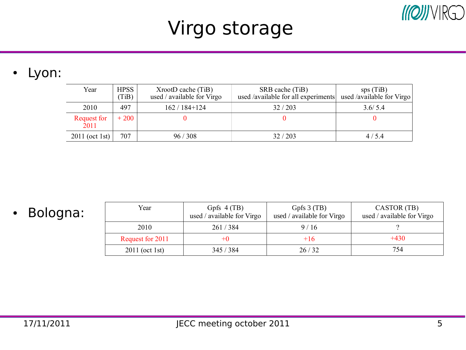## Virgo storage

#### • Lyon:

| Year                       | <b>HPSS</b><br>(TiB) | $XrootD$ cache $(TiB)$<br>used / available for Virgo | SRB cache (TiB)<br>used /available for all experiments | sps(TiB)<br>used /available for Virgo |
|----------------------------|----------------------|------------------------------------------------------|--------------------------------------------------------|---------------------------------------|
| 2010                       | 497                  | $162/184+124$                                        | 32/203                                                 | 3.6/5.4                               |
| <b>Request for</b><br>2011 | $+200$               |                                                      |                                                        |                                       |
| 2011 (oct 1st) $ $         | 707                  | 96/308                                               | 32/203                                                 | 4/5.4                                 |

• Bologna:

| Year             | Gpfs $4(TB)$<br>used / available for Virgo | Gpfs $3$ (TB)<br>used / available for Virgo | CASTOR (TB)<br>used / available for Virgo |
|------------------|--------------------------------------------|---------------------------------------------|-------------------------------------------|
| 2010             | 261/384                                    | 9/16                                        |                                           |
| Request for 2011 |                                            | +16                                         | $+430$                                    |
| $2011$ (oct 1st) | 345/384                                    | 26/32                                       | 754                                       |

 $M[Q]]/VR[Q]$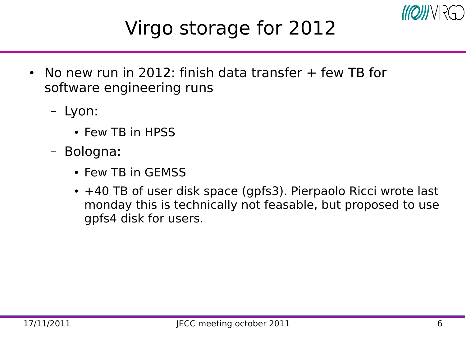

#### Virgo storage for 2012

- No new run in 2012: finish data transfer  $+$  few TB for software engineering runs
	- Lyon:
		- Few TB in HPSS
	- Bologna:
		- Few TB in GEMSS
		- +40 TB of user disk space (gpfs3). Pierpaolo Ricci wrote last monday this is technically not feasable, but proposed to use gpfs4 disk for users.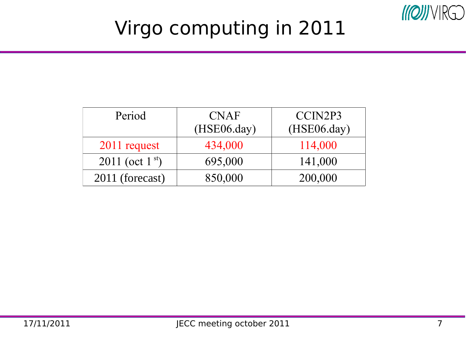

## Virgo computing in 2011

| Period               | <b>CNAF</b><br>$(HSE06 \text{.day})$ | CCIN2P3<br>$(HSE06 \text{.day})$ |
|----------------------|--------------------------------------|----------------------------------|
| 2011 request         | 434,000                              | 114,000                          |
| 2011 (oct $1^{st}$ ) | 695,000                              | 141,000                          |
| 2011 (forecast)      | 850,000                              | 200,000                          |